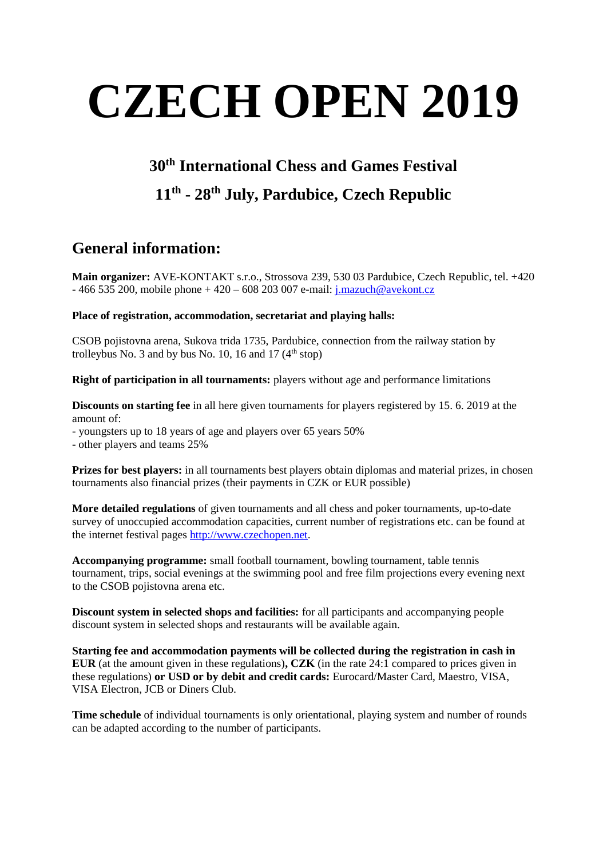# **CZECH OPEN 2019**

## **30th International Chess and Games Festival**

## **11 th - 28th July, Pardubice, Czech Republic**

## **General information:**

**Main organizer:** AVE-KONTAKT s.r.o., Strossova 239, 530 03 Pardubice, Czech Republic, tel. +420  $-466535200$ , mobile phone  $+420 - 608203007$  e-mail: [j.mazuch@avekont.cz](mailto:j.mazuch@avekont.cz)

## **Place of registration, accommodation, secretariat and playing halls:**

CSOB pojistovna arena, Sukova trida 1735, Pardubice, connection from the railway station by trolleybus No. 3 and by bus No. 10, 16 and 17  $(4<sup>th</sup> stop)$ 

**Right of participation in all tournaments:** players without age and performance limitations

**Discounts on starting fee** in all here given tournaments for players registered by 15. 6. 2019 at the amount of:

- youngsters up to 18 years of age and players over 65 years 50%

- other players and teams 25%

**Prizes for best players:** in all tournaments best players obtain diplomas and material prizes, in chosen tournaments also financial prizes (their payments in CZK or EUR possible)

**More detailed regulations** of given tournaments and all chess and poker tournaments, up-to-date survey of unoccupied accommodation capacities, current number of registrations etc. can be found at the internet festival pages [http://www.czechopen.net.](http://www.czechopen.net/)

**Accompanying programme:** small football tournament, bowling tournament, table tennis tournament, trips, social evenings at the swimming pool and free film projections every evening next to the CSOB pojistovna arena etc.

**Discount system in selected shops and facilities:** for all participants and accompanying people discount system in selected shops and restaurants will be available again.

**Starting fee and accommodation payments will be collected during the registration in cash in EUR** (at the amount given in these regulations)**, CZK** (in the rate 24:1 compared to prices given in these regulations) **or USD or by debit and credit cards:** Eurocard/Master Card, Maestro, VISA, VISA Electron, JCB or Diners Club.

**Time schedule** of individual tournaments is only orientational, playing system and number of rounds can be adapted according to the number of participants.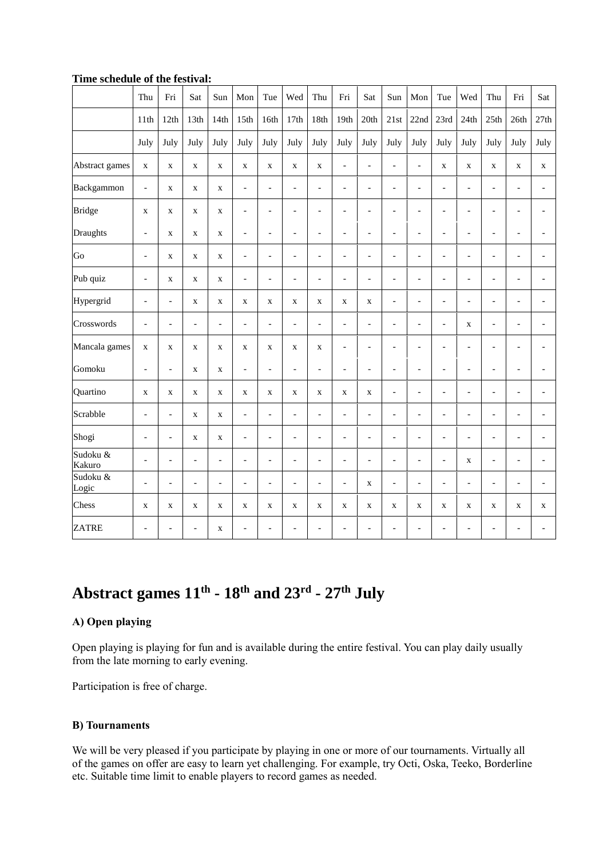|                    | Thu                      | Fri            | Sat            | Sun                      | Mon                      | Tue                      | Wed                          | Thu                          | Fri                      | Sat                      | Sun                      | Mon                      | Tue                      | Wed                      | Thu                      | Fri                          | Sat            |
|--------------------|--------------------------|----------------|----------------|--------------------------|--------------------------|--------------------------|------------------------------|------------------------------|--------------------------|--------------------------|--------------------------|--------------------------|--------------------------|--------------------------|--------------------------|------------------------------|----------------|
|                    | 11th                     | 12th           | 13th           | 14th                     | 15 <sup>th</sup>         | 16th                     | 17th                         | 18th                         | 19th                     | 20th                     | 21st                     | 22nd                     | 23rd                     | 24th                     | 25th                     | 26th                         | 27th           |
|                    | July                     | July           | July           | July                     | July                     | July                     | July                         | July                         | July                     | July                     | July                     | July                     | July                     | July                     | July                     | July                         | July           |
| Abstract games     | $\mathbf X$              | $\mathbf X$    | $\mathbf X$    | $\mathbf X$              | $\mathbf X$              | $\mathbf X$              | $\mathbf X$                  | $\mathbf X$                  | $\blacksquare$           | $\overline{a}$           | $\bar{\phantom{a}}$      | $\overline{a}$           | $\mathbf X$              | $\mathbf X$              | $\mathbf X$              | $\mathbf X$                  | $\mathbf X$    |
| Backgammon         | $\overline{\phantom{m}}$ | $\mathbf X$    | $\mathbf X$    | $\mathbf X$              | $\overline{\phantom{a}}$ | $\overline{\phantom{a}}$ | $\overline{\phantom{a}}$     | $\blacksquare$               | $\overline{\phantom{a}}$ | $\blacksquare$           | $\overline{\phantom{a}}$ | $\overline{\phantom{0}}$ | $\blacksquare$           | $\overline{\phantom{a}}$ | $\overline{\phantom{0}}$ | $\overline{\phantom{0}}$     |                |
| <b>Bridge</b>      | $\mathbf X$              | $\mathbf X$    | $\mathbf X$    | $\mathbf X$              | $\overline{\phantom{a}}$ | $\overline{\phantom{a}}$ | $\overline{a}$               | $\qquad \qquad \Box$         | $\overline{\phantom{a}}$ | $\blacksquare$           | $\overline{\phantom{a}}$ | $\overline{\phantom{0}}$ | $\overline{\phantom{a}}$ | $\overline{\phantom{a}}$ | $\overline{\phantom{a}}$ | $\overline{a}$               |                |
| Draughts           | $\overline{a}$           | $\mathbf X$    | $\mathbf X$    | $\mathbf X$              | $\overline{\phantom{a}}$ | $\overline{\phantom{a}}$ | $\blacksquare$               | $\overline{\phantom{0}}$     | $\overline{\phantom{a}}$ | $\overline{\phantom{0}}$ | $\overline{a}$           | $\overline{a}$           | $\overline{\phantom{a}}$ | $\overline{\phantom{a}}$ | $\overline{\phantom{a}}$ | $\overline{\phantom{0}}$     | $\overline{a}$ |
| Go                 | $\overline{a}$           | $\mathbf X$    | $\mathbf X$    | $\mathbf X$              | $\overline{\phantom{a}}$ | $\overline{\phantom{a}}$ | $\qquad \qquad \blacksquare$ | $\qquad \qquad \blacksquare$ | $\overline{\phantom{0}}$ | $\overline{\phantom{0}}$ | $\blacksquare$           | $\overline{\phantom{a}}$ | $\overline{\phantom{a}}$ | $\overline{\phantom{a}}$ | $\overline{\phantom{a}}$ | $\frac{1}{2}$                | $\overline{a}$ |
| Pub quiz           | $\overline{\phantom{0}}$ | $\mathbf X$    | $\mathbf X$    | $\mathbf X$              | $\overline{\phantom{a}}$ | $\overline{\phantom{a}}$ | $\overline{a}$               | $\overline{a}$               | $\overline{\phantom{a}}$ | $\blacksquare$           | $\blacksquare$           | $\overline{a}$           | $\overline{\phantom{a}}$ | $\overline{\phantom{a}}$ | $\overline{a}$           | $\overline{\phantom{a}}$     |                |
| Hypergrid          | $\qquad \qquad -$        | $\overline{a}$ | $\mathbf X$    | X                        | $\mathbf X$              | $\mathbf X$              | $\mathbf X$                  | $\mathbf X$                  | $\mathbf X$              | $\mathbf X$              | $\blacksquare$           | $\overline{a}$           | $\overline{a}$           | $\overline{a}$           | L,                       |                              |                |
| Crosswords         | $\overline{a}$           | $\overline{a}$ | $\overline{a}$ | $\overline{a}$           | $\bar{a}$                | $\overline{a}$           | $\overline{a}$               | $\overline{a}$               | $\overline{a}$           | $\overline{a}$           | $\overline{a}$           | $\overline{a}$           | $\overline{a}$           | $\mathbf X$              | $\overline{\phantom{0}}$ | $\overline{a}$               |                |
| Mancala games      | $\mathbf X$              | $\mathbf X$    | $\mathbf X$    | $\mathbf X$              | $\mathbf X$              | $\mathbf X$              | $\mathbf X$                  | $\mathbf X$                  | $\overline{\phantom{a}}$ | $\overline{a}$           | $\blacksquare$           | $\overline{a}$           | $\overline{a}$           | $\overline{a}$           | $\overline{\phantom{0}}$ | $\qquad \qquad \blacksquare$ |                |
| Gomoku             | $\overline{a}$           | $\overline{a}$ | $\mathbf X$    | $\mathbf X$              | $\bar{\phantom{a}}$      | $\blacksquare$           | $\overline{a}$               | $\overline{a}$               | $\overline{a}$           | $\overline{a}$           | $\overline{a}$           | $\overline{a}$           | $\overline{a}$           | $\overline{a}$           | $\blacksquare$           | $\overline{a}$               |                |
| Quartino           | $\mathbf X$              | $\mathbf X$    | $\mathbf X$    | $\mathbf X$              | $\mathbf X$              | $\mathbf X$              | $\mathbf X$                  | $\mathbf X$                  | $\mathbf X$              | $\mathbf X$              | $\overline{\phantom{a}}$ | $\overline{\phantom{0}}$ | $\blacksquare$           | $\overline{\phantom{a}}$ | $\overline{\phantom{a}}$ | $\qquad \qquad \blacksquare$ |                |
| Scrabble           | $\overline{a}$           | $\overline{a}$ | $\mathbf X$    | $\mathbf X$              | $\bar{\phantom{a}}$      | $\overline{\phantom{a}}$ | $\overline{a}$               | $\overline{\phantom{m}}$     | $\overline{\phantom{0}}$ | $\overline{a}$           | $\overline{\phantom{a}}$ | $\overline{a}$           | $\overline{a}$           | $\blacksquare$           | $\blacksquare$           | $\qquad \qquad \blacksquare$ | $\overline{a}$ |
| Shogi              | $\overline{\phantom{0}}$ | $\blacksquare$ | $\mathbf X$    | $\mathbf X$              | $\overline{\phantom{a}}$ | $\overline{\phantom{a}}$ | $\overline{a}$               | $\overline{a}$               | $\overline{\phantom{a}}$ | $\blacksquare$           | $\overline{\phantom{a}}$ | $\overline{\phantom{0}}$ | $\overline{\phantom{a}}$ | $\overline{\phantom{a}}$ | $\overline{\phantom{a}}$ | $\overline{a}$               |                |
| Sudoku &<br>Kakuro | $\overline{a}$           | $\overline{a}$ | $\overline{a}$ | $\overline{a}$           | $\overline{a}$           | $\overline{a}$           | $\overline{a}$               | $\overline{a}$               | $\blacksquare$           | $\overline{a}$           | $\blacksquare$           | $\overline{a}$           | $\overline{a}$           | $\mathbf X$              | $\overline{a}$           | $\overline{a}$               |                |
| Sudoku &<br>Logic  | $\overline{a}$           | $\overline{a}$ | $\blacksquare$ | $\overline{\phantom{0}}$ | $\blacksquare$           | $\qquad \qquad \Box$     | $\overline{a}$               | $\overline{\phantom{0}}$     | $\overline{\phantom{a}}$ | $\mathbf X$              | $\blacksquare$           | $\overline{\phantom{0}}$ | $\overline{a}$           | $\overline{a}$           | $\overline{a}$           | $\overline{a}$               |                |
| Chess              | $\mathbf X$              | $\mathbf X$    | $\mathbf X$    | $\mathbf X$              | $\mathbf X$              | $\mathbf X$              | $\mathbf X$                  | $\mathbf X$                  | $\mathbf X$              | $\mathbf X$              | $\mathbf X$              | $\mathbf X$              | $\mathbf X$              | $\mathbf X$              | $\mathbf X$              | $\mathbf X$                  | $\mathbf X$    |
| <b>ZATRE</b>       | $\overline{a}$           |                |                | X                        |                          |                          |                              | L,                           | $\overline{a}$           | $\overline{a}$           | L,                       |                          |                          |                          |                          |                              |                |

## **Time schedule of the festival:**

## Abstract games  $11<sup>th</sup>$  -  $18<sup>th</sup>$  and  $23<sup>rd</sup>$  -  $27<sup>th</sup>$  July

## **A) Open playing**

Open playing is playing for fun and is available during the entire festival. You can play daily usually from the late morning to early evening.

Participation is free of charge.

## **B) Tournaments**

We will be very pleased if you participate by playing in one or more of our tournaments. Virtually all of the games on offer are easy to learn yet challenging. For example, try Octi, Oska, Teeko, Borderline etc. Suitable time limit to enable players to record games as needed.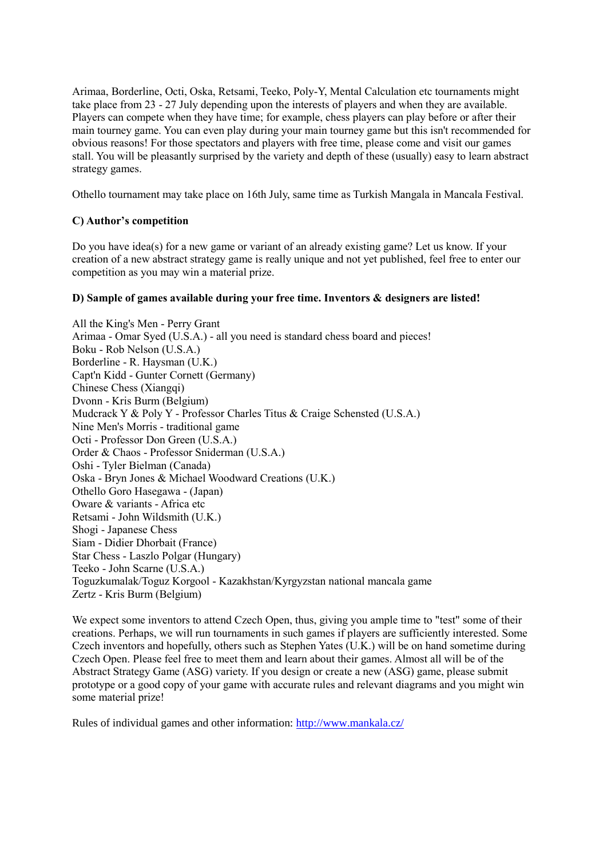Arimaa, Borderline, Octi, Oska, Retsami, Teeko, Poly-Y, Mental Calculation etc tournaments might take place from 23 - 27 July depending upon the interests of players and when they are available. Players can compete when they have time; for example, chess players can play before or after their main tourney game. You can even play during your main tourney game but this isn't recommended for obvious reasons! For those spectators and players with free time, please come and visit our games stall. You will be pleasantly surprised by the variety and depth of these (usually) easy to learn abstract strategy games.

Othello tournament may take place on 16th July, same time as Turkish Mangala in Mancala Festival.

## **C) Author's competition**

Do you have idea(s) for a new game or variant of an already existing game? Let us know. If your creation of a new abstract strategy game is really unique and not yet published, feel free to enter our competition as you may win a material prize.

## **D) Sample of games available during your free time. Inventors & designers are listed!**

All the King's Men - Perry Grant Arimaa - Omar Syed (U.S.A.) - all you need is standard chess board and pieces! Boku - Rob Nelson (U.S.A.) Borderline - R. Haysman (U.K.) Capt'n Kidd - Gunter Cornett (Germany) Chinese Chess (Xiangqi) Dvonn - Kris Burm (Belgium) Mudcrack Y & Poly Y - Professor Charles Titus & Craige Schensted (U.S.A.) Nine Men's Morris - traditional game Octi - Professor Don Green (U.S.A.) Order & Chaos - Professor Sniderman (U.S.A.) Oshi - Tyler Bielman (Canada) Oska - Bryn Jones & Michael Woodward Creations (U.K.) Othello Goro Hasegawa - (Japan) Oware & variants - Africa etc Retsami - John Wildsmith (U.K.) Shogi - Japanese Chess Siam - Didier Dhorbait (France) Star Chess - Laszlo Polgar (Hungary) Teeko - John Scarne (U.S.A.) Toguzkumalak/Toguz Korgool - Kazakhstan/Kyrgyzstan national mancala game Zertz - Kris Burm (Belgium)

We expect some inventors to attend Czech Open, thus, giving you ample time to "test" some of their creations. Perhaps, we will run tournaments in such games if players are sufficiently interested. Some Czech inventors and hopefully, others such as Stephen Yates (U.K.) will be on hand sometime during Czech Open. Please feel free to meet them and learn about their games. Almost all will be of the Abstract Strategy Game (ASG) variety. If you design or create a new (ASG) game, please submit prototype or a good copy of your game with accurate rules and relevant diagrams and you might win some material prize!

Rules of individual games and other information:<http://www.mankala.cz/>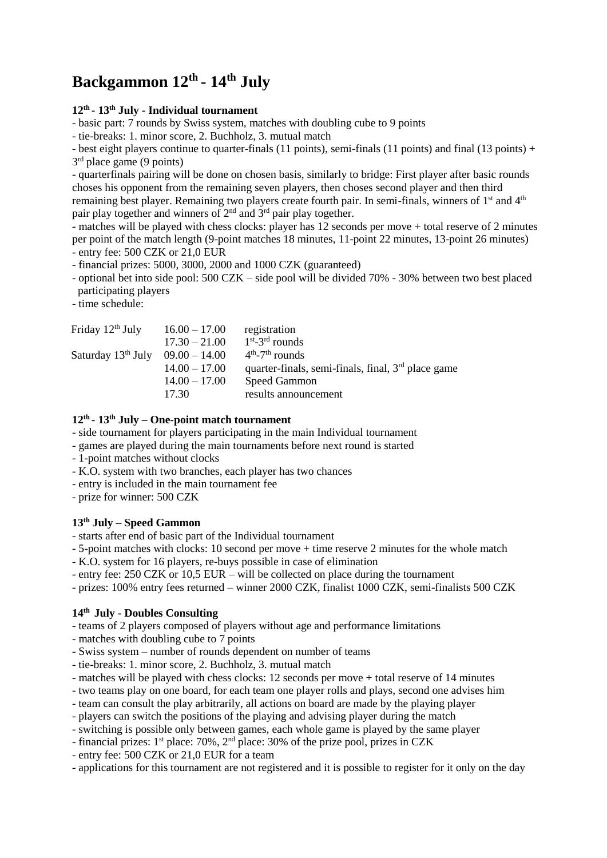## **Backgammon 12 th - 14 th July**

## **12th - 13th July - Individual tournament**

- basic part: 7 rounds by Swiss system, matches with doubling cube to 9 points

- tie-breaks: 1. minor score, 2. Buchholz, 3. mutual match

- best eight players continue to quarter-finals (11 points), semi-finals (11 points) and final (13 points) + 3<sup>rd</sup> place game (9 points)

- quarterfinals pairing will be done on chosen basis, similarly to bridge: First player after basic rounds choses his opponent from the remaining seven players, then choses second player and then third remaining best player. Remaining two players create fourth pair. In semi-finals, winners of 1<sup>st</sup> and 4<sup>th</sup> pair play together and winners of 2nd and 3rd pair play together.

- matches will be played with chess clocks: player has 12 seconds per move + total reserve of 2 minutes per point of the match length (9-point matches 18 minutes, 11-point 22 minutes, 13-point 26 minutes) - entry fee: 500 CZK or 21,0 EUR

- financial prizes: 5000, 3000, 2000 and 1000 CZK (guaranteed)

- optional bet into side pool: 500 CZK – side pool will be divided 70% - 30% between two best placed participating players

- time schedule:

| Friday 12 <sup>th</sup> July            | $16.00 - 17.00$<br>$17.30 - 21.00$ | registration<br>$1st - 3rd$ rounds                                         |
|-----------------------------------------|------------------------------------|----------------------------------------------------------------------------|
| Saturday $13^{th}$ July $09.00 - 14.00$ | $14.00 - 17.00$                    | $4th - 7th$ rounds<br>quarter-finals, semi-finals, final, $3rd$ place game |
|                                         | $14.00 - 17.00$                    | <b>Speed Gammon</b>                                                        |
|                                         | 17.30                              | results announcement                                                       |

### **12th - 13th July – One-point match tournament**

- side tournament for players participating in the main Individual tournament
- games are played during the main tournaments before next round is started
- 1-point matches without clocks
- K.O. system with two branches, each player has two chances
- entry is included in the main tournament fee
- prize for winner: 500 CZK

## **13th July – Speed Gammon**

- starts after end of basic part of the Individual tournament

- 5-point matches with clocks: 10 second per move + time reserve 2 minutes for the whole match

- K.O. system for 16 players, re-buys possible in case of elimination
- entry fee: 250 CZK or 10,5 EUR will be collected on place during the tournament
- prizes: 100% entry fees returned winner 2000 CZK, finalist 1000 CZK, semi-finalists 500 CZK

## **14th July - Doubles Consulting**

- teams of 2 players composed of players without age and performance limitations

- matches with doubling cube to 7 points
- Swiss system number of rounds dependent on number of teams
- tie-breaks: 1. minor score, 2. Buchholz, 3. mutual match
- matches will be played with chess clocks: 12 seconds per move + total reserve of 14 minutes
- two teams play on one board, for each team one player rolls and plays, second one advises him
- team can consult the play arbitrarily, all actions on board are made by the playing player
- players can switch the positions of the playing and advising player during the match
- switching is possible only between games, each whole game is played by the same player
- financial prizes: 1st place: 70%, 2nd place: 30% of the prize pool, prizes in CZK
- entry fee: 500 CZK or 21,0 EUR for a team
- applications for this tournament are not registered and it is possible to register for it only on the day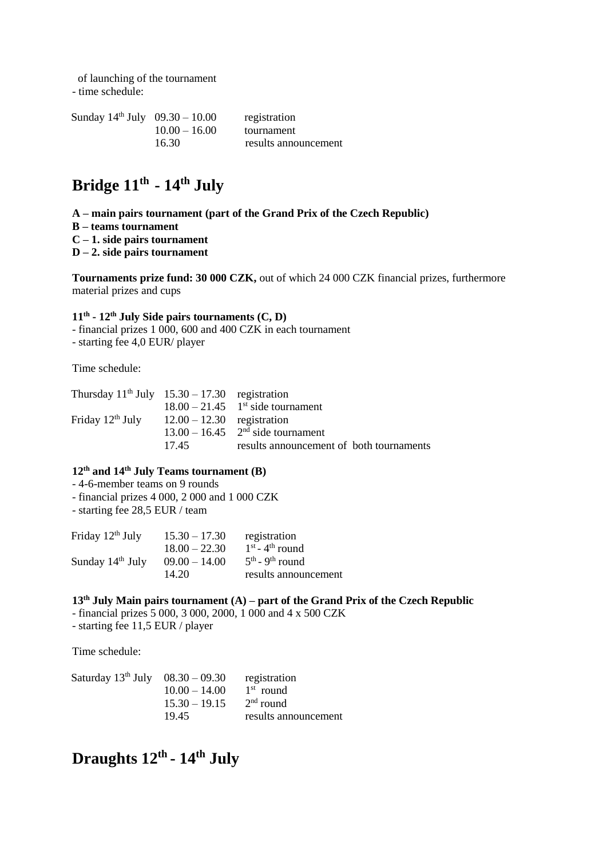of launching of the tournament

- time schedule:

Sunday  $14<sup>th</sup>$  July  $09.30 - 10.00$  registration 10.00 – 16.00 tournament 16.30 results announcement

## **Bridge 11 th - 14 th July**

- **A – main pairs tournament (part of the Grand Prix of the Czech Republic)**
- **B – teams tournament**
- **C – 1. side pairs tournament**
- **D – 2. side pairs tournament**

**Tournaments prize fund: 30 000 CZK,** out of which 24 000 CZK financial prizes, furthermore material prizes and cups

#### **11th - 12th July Side pairs tournaments (C, D)**

- financial prizes 1 000, 600 and 400 CZK in each tournament
- starting fee 4,0 EUR/ player

Time schedule:

| Thursday $11th$ July $15.30 - 17.30$ registration |                              |                                                 |
|---------------------------------------------------|------------------------------|-------------------------------------------------|
|                                                   |                              | $18.00 - 21.45$ 1 <sup>st</sup> side tournament |
| Friday 12 <sup>th</sup> July                      | $12.00 - 12.30$ registration |                                                 |
|                                                   |                              | $13.00 - 16.45$ 2 <sup>nd</sup> side tournament |
|                                                   | 1745                         | results announcement of both tournaments        |

## **12th and 14th July Teams tournament (B)**

- 4-6-member teams on 9 rounds
- financial prizes 4 000, 2 000 and 1 000 CZK
- starting fee 28,5 EUR / team

| Friday 12 <sup>th</sup> July | $15.30 - 17.30$ | registration                  |
|------------------------------|-----------------|-------------------------------|
|                              | $18.00 - 22.30$ | $1st - 4th$ round             |
| Sunday 14 <sup>th</sup> July | $09.00 - 14.00$ | $5th$ - 9 <sup>th</sup> round |
|                              | 14.20           | results announcement          |
|                              |                 |                               |

### **13th July Main pairs tournament (A) – part of the Grand Prix of the Czech Republic**

- financial prizes 5 000, 3 000, 2000, 1 000 and 4 x 500 CZK
- starting fee 11,5 EUR / player

Time schedule:

| Saturday $13^{th}$ July $08.30 - 09.30$ |                 | registration         |
|-----------------------------------------|-----------------|----------------------|
|                                         | $10.00 - 14.00$ | $1st$ round          |
|                                         | $15.30 - 19.15$ | $2nd$ round          |
|                                         | 19.45           | results announcement |

## **Draughts 12 th - 14 th July**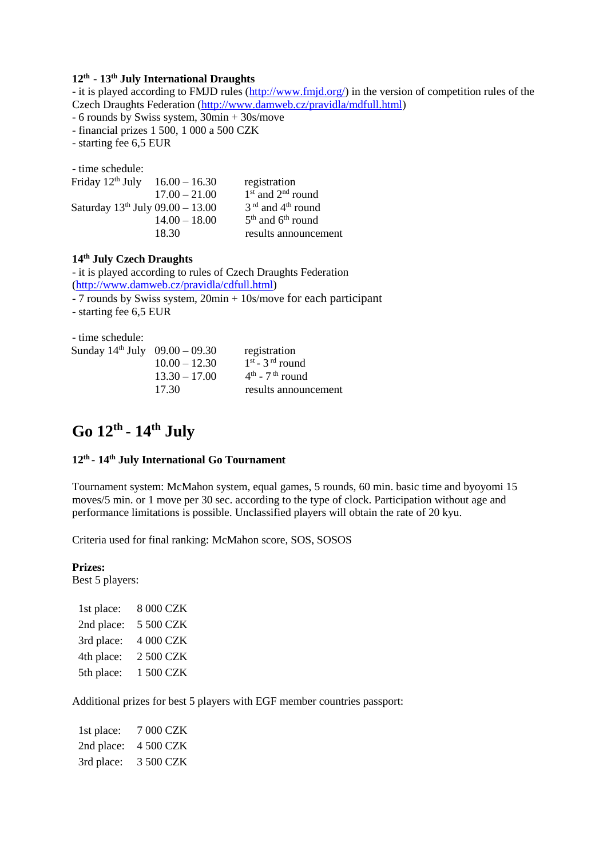#### **12th - 13th July International Draughts**

- it is played according to FMJD rules [\(http://www.fmjd.org/\)](http://www.fmjd.org/) in the version of competition rules of the Czech Draughts Federation [\(http://www.damweb.cz/pravidla/mdfull.html\)](http://www.damweb.cz/pravidla/mdfull.html)

- 6 rounds by Swiss system, 30min + 30s/move

- financial prizes 1 500, 1 000 a 500 CZK

- starting fee 6,5 EUR

- time schedule:

| Friday 12 <sup>th</sup> July          | $16.00 - 16.30$ | registration          |
|---------------------------------------|-----------------|-----------------------|
|                                       | $17.00 - 21.00$ | $1st$ and $2nd$ round |
| Saturday $13^{th}$ July 09.00 - 13.00 |                 | $3rd$ and $4th$ round |
|                                       | $14.00 - 18.00$ | $5th$ and $6th$ round |
|                                       | 18.30           | results announcement  |

## **14th July Czech Draughts**

- it is played according to rules of Czech Draughts Federation [\(http://www.damweb.cz/pravidla/cdfull.html\)](http://www.damweb.cz/pravidla/cdfull.html)

- 7 rounds by Swiss system, 20min + 10s/move for each participant

- starting fee 6,5 EUR

| - time schedule:                      |                 |                               |
|---------------------------------------|-----------------|-------------------------------|
| Sunday $14^{th}$ July $09.00 - 09.30$ |                 | registration                  |
|                                       | $10.00 - 12.30$ | $1st - 3rd$ round             |
|                                       | $13.30 - 17.00$ | $4th$ - 7 <sup>th</sup> round |
|                                       | 17.30           | results announcement          |

## **Go 12 th - 14 th July**

#### **12 th - 14 th July International Go Tournament**

Tournament system: McMahon system, equal games, 5 rounds, 60 min. basic time and byoyomi 15 moves/5 min. or 1 move per 30 sec. according to the type of clock. Participation without age and performance limitations is possible. Unclassified players will obtain the rate of 20 kyu.

Criteria used for final ranking: McMahon score, SOS, SOSOS

## **Prizes:**

Best 5 players:

| 1st place: | 8 000 CZK |
|------------|-----------|
| 2nd place: | 5 500 CZK |
| 3rd place: | 4 000 CZK |
| 4th place: | 2 500 CZK |
| 5th place: | 1 500 CZK |
|            |           |

Additional prizes for best 5 players with EGF member countries passport:

| 1st place: | 7 000 CZK |
|------------|-----------|
| 2nd place: | 4 500 CZK |
| 3rd place: | 3 500 CZK |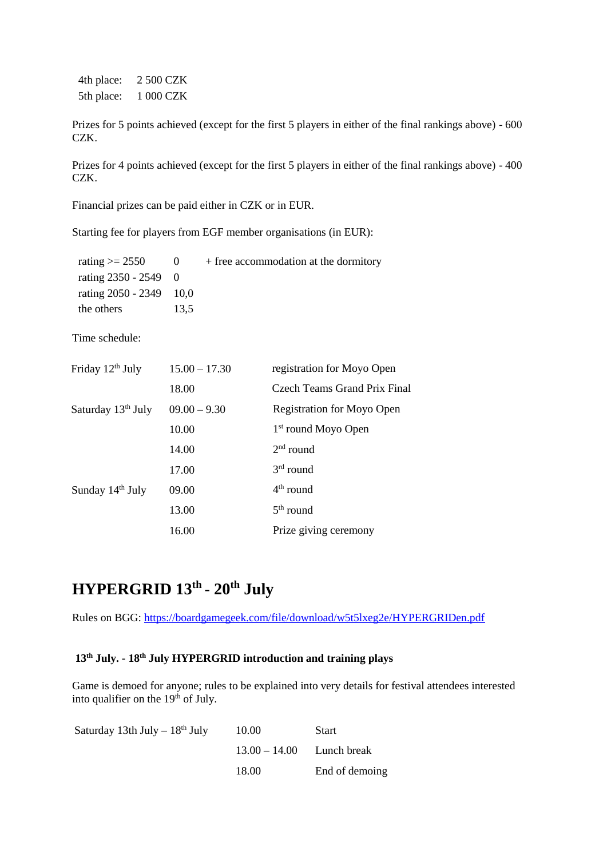4th place: 2 500 CZK 5th place: 1 000 CZK

Prizes for 5 points achieved (except for the first 5 players in either of the final rankings above) - 600 CZK.

Prizes for 4 points achieved (except for the first 5 players in either of the final rankings above) - 400 CZK.

Financial prizes can be paid either in CZK or in EUR.

Starting fee for players from EGF member organisations (in EUR):

| rating $\ge$ 2550         | - 0  | + free accommodation at the dormitory |
|---------------------------|------|---------------------------------------|
| rating $2350 - 2549 = 0$  |      |                                       |
| rating $2050 - 2349$ 10,0 |      |                                       |
| the others                | 13,5 |                                       |

Time schedule:

| Friday 12 <sup>th</sup> July   | $15.00 - 17.30$ | registration for Moyo Open        |
|--------------------------------|-----------------|-----------------------------------|
|                                | 18.00           | Czech Teams Grand Prix Final      |
| Saturday 13 <sup>th</sup> July | $09.00 - 9.30$  | <b>Registration for Moyo Open</b> |
|                                | 10.00           | $1st$ round Moyo Open             |
|                                | 14.00           | $2nd$ round                       |
|                                | 17.00           | $3rd$ round                       |
| Sunday 14th July               | 09.00           | $4th$ round                       |
|                                | 13.00           | $5th$ round                       |
|                                | 16.00           | Prize giving ceremony             |

## **HYPERGRID 13th - 20th July**

Rules on BGG:<https://boardgamegeek.com/file/download/w5t5lxeg2e/HYPERGRIDen.pdf>

## **13th July. - 18th July HYPERGRID introduction and training plays**

Game is demoed for anyone; rules to be explained into very details for festival attendees interested into qualifier on the  $19<sup>th</sup>$  of July.

| Saturday 13th July $-18th$ July | 10.00                       | <b>Start</b>   |
|---------------------------------|-----------------------------|----------------|
|                                 | $13.00 - 14.00$ Lunch break |                |
|                                 | 18.00                       | End of demoing |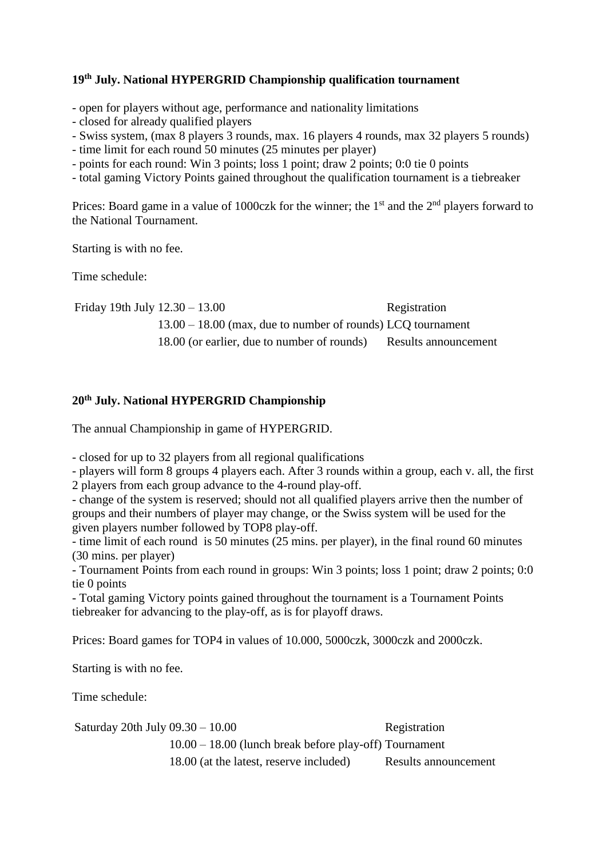## **19th July. National HYPERGRID Championship qualification tournament**

- open for players without age, performance and nationality limitations

- closed for already qualified players

- Swiss system, (max 8 players 3 rounds, max. 16 players 4 rounds, max 32 players 5 rounds)

- time limit for each round 50 minutes (25 minutes per player)

- points for each round: Win 3 points; loss 1 point; draw 2 points; 0:0 tie 0 points

- total gaming Victory Points gained throughout the qualification tournament is a tiebreaker

Prices: Board game in a value of 1000czk for the winner; the  $1<sup>st</sup>$  and the  $2<sup>nd</sup>$  players forward to the National Tournament.

Starting is with no fee.

Time schedule:

Friday 19th July  $12.30 - 13.00$  Registration 13.00 – 18.00 (max, due to number of rounds) LCQ tournament 18.00 (or earlier, due to number of rounds) Results announcement

## **20th July. National HYPERGRID Championship**

The annual Championship in game of HYPERGRID.

- closed for up to 32 players from all regional qualifications

- players will form 8 groups 4 players each. After 3 rounds within a group, each v. all, the first 2 players from each group advance to the 4-round play-off.

- change of the system is reserved; should not all qualified players arrive then the number of groups and their numbers of player may change, or the Swiss system will be used for the given players number followed by TOP8 play-off.

- time limit of each round is 50 minutes (25 mins. per player), in the final round 60 minutes (30 mins. per player)

- Tournament Points from each round in groups: Win 3 points; loss 1 point; draw 2 points; 0:0 tie 0 points

- Total gaming Victory points gained throughout the tournament is a Tournament Points tiebreaker for advancing to the play-off, as is for playoff draws.

Prices: Board games for TOP4 in values of 10.000, 5000czk, 3000czk and 2000czk.

Starting is with no fee.

Time schedule:

Saturday 20th July 09.30 – 10.00 Registration 10.00 – 18.00 (lunch break before play-off) Tournament 18.00 (at the latest, reserve included) Results announcement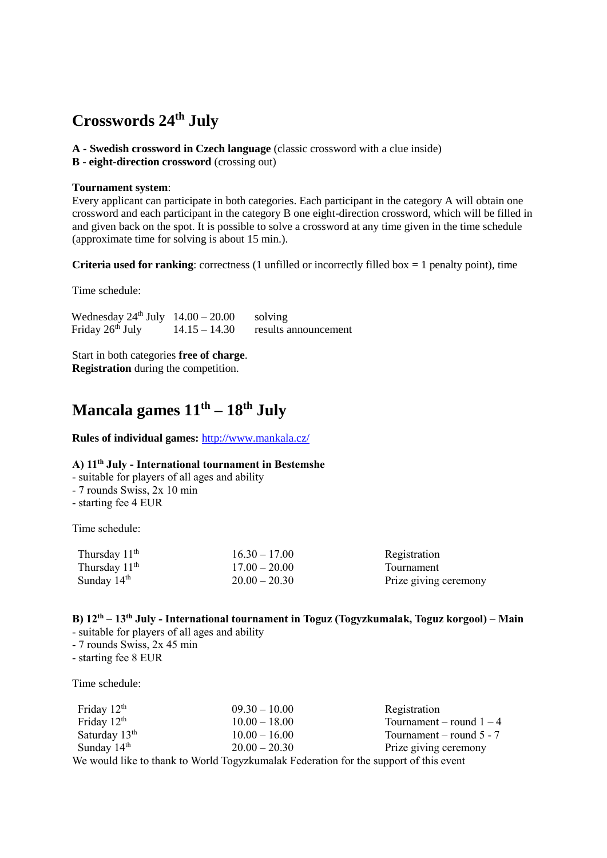## **Crosswords 24 th July**

- **A - Swedish crossword in Czech language** (classic crossword with a clue inside)
- **B - eight-direction crossword** (crossing out)

#### **Tournament system**:

Every applicant can participate in both categories. Each participant in the category A will obtain one crossword and each participant in the category B one eight-direction crossword, which will be filled in and given back on the spot. It is possible to solve a crossword at any time given in the time schedule (approximate time for solving is about 15 min.).

**Criteria used for ranking**: correctness (1 unfilled or incorrectly filled box  $= 1$  penalty point), time

Time schedule:

Wednesday  $24^{\text{th}}$  July  $14.00 - 20.00$  solving Friday 26<sup>th</sup> July  $14.15 - 14.30$  results announcement

Start in both categories **free of charge**. **Registration** during the competition.

## **Mancala games 11 th – 18th July**

#### **Rules of individual games:** <http://www.mankala.cz/>

## **A) 11th July - International tournament in Bestemshe**

- suitable for players of all ages and ability
- 7 rounds Swiss, 2x 10 min
- starting fee 4 EUR

Time schedule:

| Thursday $11th$ | $16.30 - 17.00$ | Registration          |
|-----------------|-----------------|-----------------------|
| Thursday $11th$ | $17.00 - 20.00$ | Tournament            |
| Sunday $14th$   | $20.00 - 20.30$ | Prize giving ceremony |

## **B) 12th – 13th July - International tournament in Toguz (Togyzkumalak, Toguz korgool) – Main**

- suitable for players of all ages and ability
- 7 rounds Swiss, 2x 45 min
- starting fee 8 EUR

Time schedule:

| Friday $12th$                                                                         | $09.30 - 10.00$ | Registration               |
|---------------------------------------------------------------------------------------|-----------------|----------------------------|
| Friday $12th$                                                                         | $10.00 - 18.00$ | Tournament – round $1-4$   |
| Saturday $13th$                                                                       | $10.00 - 16.00$ | Tournament – round $5 - 7$ |
| Sunday $14th$                                                                         | $20.00 - 20.30$ | Prize giving ceremony      |
| We would like to thank to World Togyzkumalak Federation for the support of this event |                 |                            |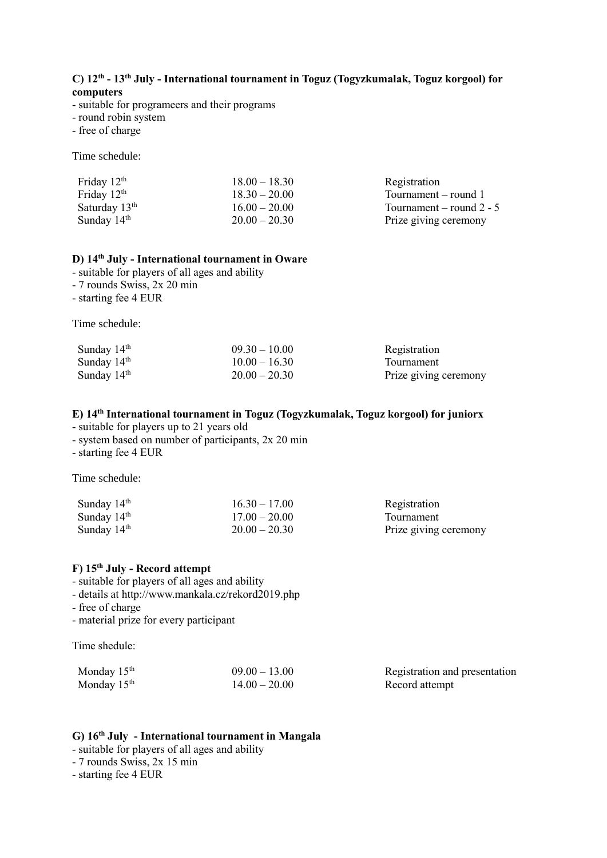#### **C) 12th - 13th July - International tournament in Toguz (Togyzkumalak, Toguz korgool) for computers**

- suitable for programeers and their programs
- round robin system
- free of charge

Time schedule:

| Friday $12th$   | $18.00 - 18.30$ | Registration               |
|-----------------|-----------------|----------------------------|
| Friday $12th$   | $18.30 - 20.00$ | Tournament – round 1       |
| Saturday $13th$ | $16.00 - 20.00$ | Tournament – round $2 - 5$ |
| Sunday $14th$   | $20.00 - 20.30$ | Prize giving ceremony      |

#### **D) 14th July - International tournament in Oware**

- suitable for players of all ages and ability

- 7 rounds Swiss, 2x 20 min
- starting fee 4 EUR

Time schedule:

| Sunday $14th$ | $09.30 - 10.00$ | Registration          |
|---------------|-----------------|-----------------------|
| Sunday $14th$ | $10.00 - 16.30$ | Tournament            |
| Sunday $14th$ | $20.00 - 20.30$ | Prize giving ceremony |

## **E) 14th International tournament in Toguz (Togyzkumalak, Toguz korgool) for juniorx**

- suitable for players up to 21 years old

- system based on number of participants, 2x 20 min

- starting fee 4 EUR

Time schedule:

| Sunday $14th$ | $16.30 - 17.00$ | Registration          |
|---------------|-----------------|-----------------------|
| Sunday $14th$ | $17.00 - 20.00$ | Tournament            |
| Sunday $14th$ | $20.00 - 20.30$ | Prize giving ceremony |

## **F) 15th July - Record attempt**

- suitable for players of all ages and ability

- details at http://www.mankala.cz/rekord2019.php
- free of charge
- material prize for every participant

Time shedule:

| Monday 15 <sup>th</sup> | $09.00 - 13.00$ | Registration and presentation |
|-------------------------|-----------------|-------------------------------|
| Monday 15 <sup>th</sup> | $14.00 - 20.00$ | Record attempt                |

#### **G) 16th July - International tournament in Mangala**

- suitable for players of all ages and ability
- 7 rounds Swiss, 2x 15 min
- starting fee 4 EUR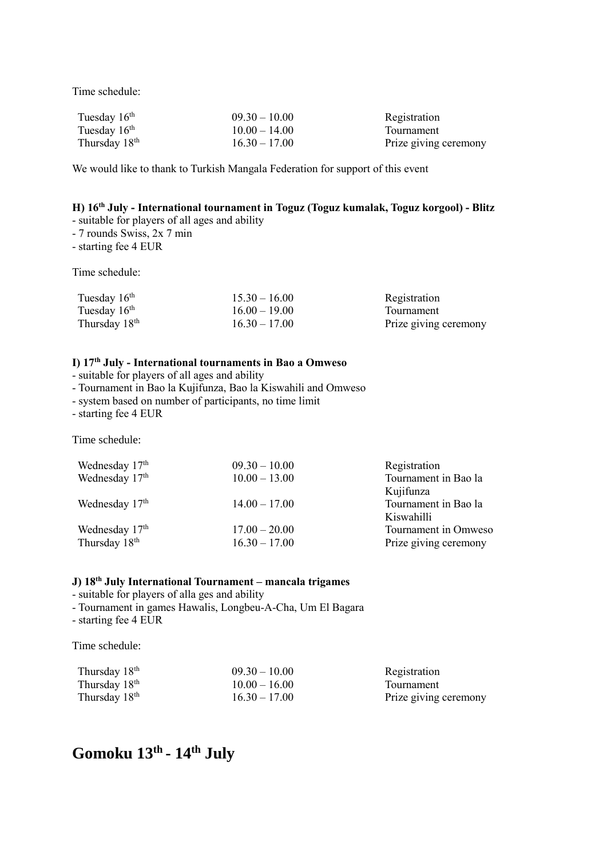Time schedule:

| Tuesday $16th$            | $09.30 - 10.00$ | Registration          |
|---------------------------|-----------------|-----------------------|
| Tuesday $16th$            | $10.00 - 14.00$ | Tournament            |
| Thursday 18 <sup>th</sup> | $16.30 - 17.00$ | Prize giving ceremony |

We would like to thank to Turkish Mangala Federation for support of this event

## **H) 16th July - International tournament in Toguz (Toguz kumalak, Toguz korgool) - Blitz**

- suitable for players of all ages and ability

- 7 rounds Swiss, 2x 7 min

- starting fee 4 EUR

Time schedule:

| Tuesday $16th$            | $15.30 - 16.00$ | Registration          |
|---------------------------|-----------------|-----------------------|
| Tuesday $16th$            | $16.00 - 19.00$ | <b>Tournament</b>     |
| Thursday 18 <sup>th</sup> | $16.30 - 17.00$ | Prize giving ceremony |

## **I) 17th July - International tournaments in Bao a Omweso**

- suitable for players of all ages and ability

- Tournament in Bao la Kujifunza, Bao la Kiswahili and Omweso
- system based on number of participants, no time limit

- starting fee 4 EUR

Time schedule:

| $09.30 - 10.00$ | Registration          |
|-----------------|-----------------------|
| $10.00 - 13.00$ | Tournament in Bao la  |
|                 | Kujifunza             |
| $14.00 - 17.00$ | Tournament in Bao la  |
|                 | Kiswahilli            |
| $17.00 - 20.00$ | Tournament in Omweso  |
| $16.30 - 17.00$ | Prize giving ceremony |
|                 |                       |

## **J) 18th July International Tournament – mancala trigames**

- suitable for players of alla ges and ability

- Tournament in games Hawalis, Longbeu-A-Cha, Um El Bagara

- starting fee 4 EUR

Time schedule:

| Thursday 18 <sup>th</sup> | $09.30 - 10.00$ | Registration          |
|---------------------------|-----------------|-----------------------|
| Thursday 18 <sup>th</sup> | $10.00 - 16.00$ | Tournament            |
| Thursday 18 <sup>th</sup> | $16.30 - 17.00$ | Prize giving ceremony |

## **Gomoku 13 th - 14 th July**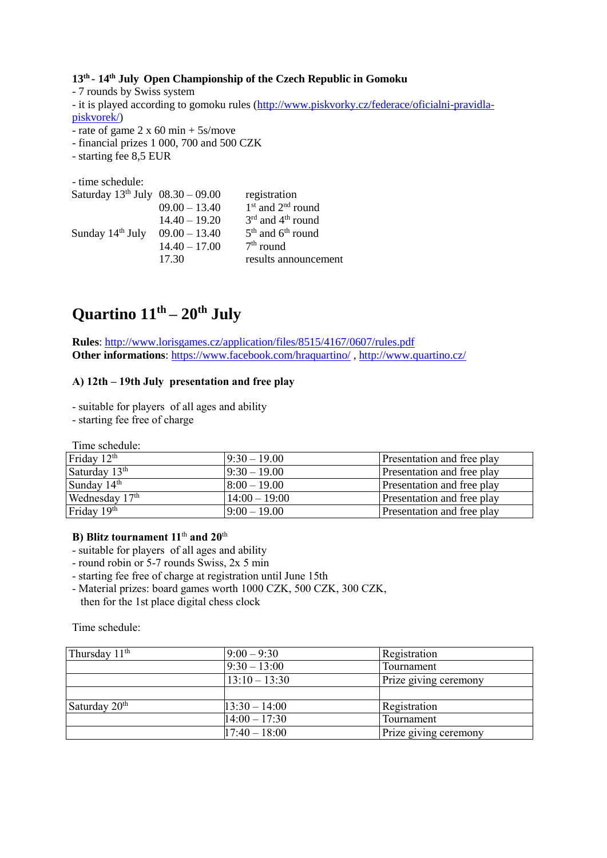**13th - 14th July Open Championship of the Czech Republic in Gomoku**

- 7 rounds by Swiss system - it is played according to gomoku rules [\(http://www.piskvorky.cz/federace/oficialni-pravidla](http://www.piskvorky.cz/federace/oficialni-pravidla-piskvorek/)[piskvorek/\)](http://www.piskvorky.cz/federace/oficialni-pravidla-piskvorek/) - rate of game  $2 \times 60$  min + 5s/move

- financial prizes 1 000, 700 and 500 CZK

- starting fee 8,5 EUR

- time schedule:

|                 | registration                              |
|-----------------|-------------------------------------------|
| $09.00 - 13.40$ | $1st$ and $2nd$ round                     |
| $14.40 - 19.20$ | $3rd$ and $4th$ round                     |
| $09.00 - 13.40$ | 5 <sup>th</sup> and 6 <sup>th</sup> round |
| $14.40 - 17.00$ | $7th$ round                               |
| 17.30           | results announcement                      |
|                 | Saturday $13^{th}$ July $08.30 - 09.00$   |

## **Quartino 11th – 20th July**

**Rules**:<http://www.lorisgames.cz/application/files/8515/4167/0607/rules.pdf> **Other informations**:<https://www.facebook.com/hraquartino/> ,<http://www.quartino.cz/>

## **A) 12th – 19th July presentation and free play**

- suitable for players of all ages and ability
- starting fee free of charge

Time schedule:

| Friday $12th$             | $9:30 - 19.00$  | Presentation and free play |
|---------------------------|-----------------|----------------------------|
| Saturday 13 <sup>th</sup> | $9:30 - 19.00$  | Presentation and free play |
| Sunday $14th$             | $8:00-19.00$    | Presentation and free play |
| Wednesday $17th$          | $14:00 - 19:00$ | Presentation and free play |
| Friday 19 <sup>th</sup>   | $9:00-19.00$    | Presentation and free play |

## **B) Blitz tournament 11**th **and 20**th

- suitable for players of all ages and ability
- round robin or 5-7 rounds Swiss, 2x 5 min
- starting fee free of charge at registration until June 15th
- Material prizes: board games worth 1000 CZK, 500 CZK, 300 CZK, then for the 1st place digital chess clock

#### Time schedule:

| Thursday 11 <sup>th</sup> | $9:00 - 9:30$     | Registration          |
|---------------------------|-------------------|-----------------------|
|                           | $9:30 - 13:00$    | Tournament            |
|                           | $13:10 - 13:30$   | Prize giving ceremony |
|                           |                   |                       |
| Saturday 20 <sup>th</sup> | $13:30 - 14:00$   | Registration          |
|                           | $ 14:00 - 17:30 $ | Tournament            |
|                           | $17:40 - 18:00$   | Prize giving ceremony |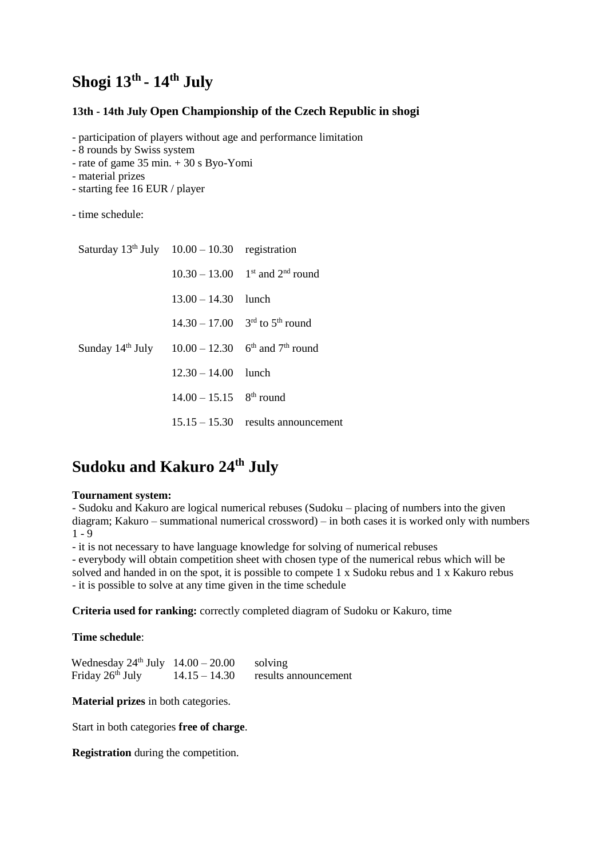## **Shogi 13th - 14th July**

## **13th - 14th July Open Championship of the Czech Republic in shogi**

- participation of players without age and performance limitation

- 8 rounds by Swiss system
- rate of game 35 min. + 30 s Byo-Yomi
- material prizes
- starting fee 16 EUR / player
- time schedule:

| Saturday $13th$ July $10.00 - 10.30$ registration                               |                                       |                                                          |
|---------------------------------------------------------------------------------|---------------------------------------|----------------------------------------------------------|
|                                                                                 |                                       | $10.30 - 13.00$ 1st and 2 <sup>nd</sup> round            |
|                                                                                 | $13.00 - 14.30$ lunch                 |                                                          |
|                                                                                 |                                       | $14.30 - 17.00$ 3 <sup>rd</sup> to 5 <sup>th</sup> round |
| Sunday $14^{th}$ July $10.00 - 12.30$ 6 <sup>th</sup> and 7 <sup>th</sup> round |                                       |                                                          |
|                                                                                 | $12.30 - 14.00$ lunch                 |                                                          |
|                                                                                 | $14.00 - 15.15$ 8 <sup>th</sup> round |                                                          |
|                                                                                 |                                       | $15.15 - 15.30$ results announcement                     |

## **Sudoku and Kakuro 24 th July**

#### **Tournament system:**

- Sudoku and Kakuro are logical numerical rebuses (Sudoku – placing of numbers into the given diagram; Kakuro – summational numerical crossword) – in both cases it is worked only with numbers  $1 - 9$ 

- it is not necessary to have language knowledge for solving of numerical rebuses

- everybody will obtain competition sheet with chosen type of the numerical rebus which will be solved and handed in on the spot, it is possible to compete 1 x Sudoku rebus and 1 x Kakuro rebus - it is possible to solve at any time given in the time schedule

**Criteria used for ranking:** correctly completed diagram of Sudoku or Kakuro, time

#### **Time schedule**:

| Wednesday $24^{\text{th}}$ July $14.00 - 20.00$ |                 | solving              |
|-------------------------------------------------|-----------------|----------------------|
| Friday 26 <sup>th</sup> July                    | $14.15 - 14.30$ | results announcement |

**Material prizes** in both categories.

Start in both categories **free of charge**.

**Registration** during the competition.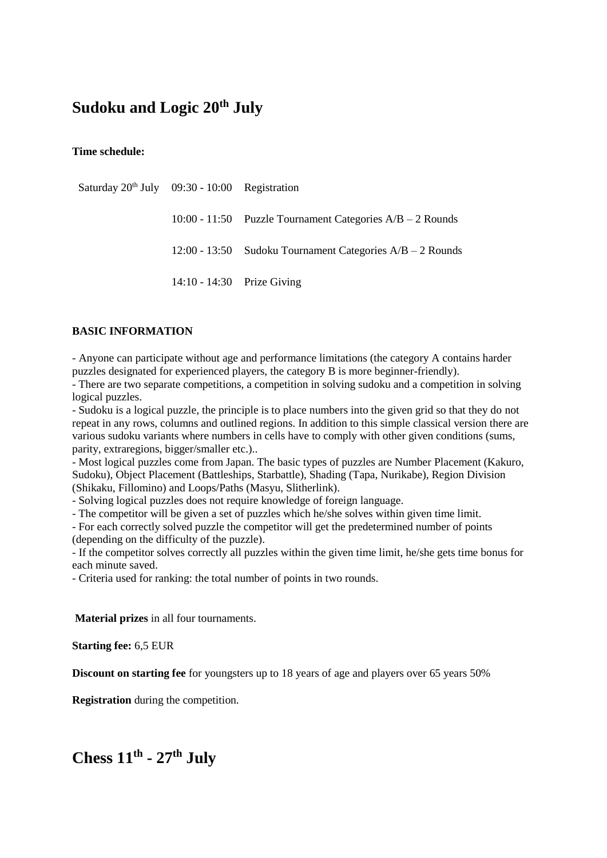## **Sudoku and Logic 20th July**

**Time schedule:**

| Saturday $20th$ July 09:30 - 10:00 Registration |                            |                                                             |
|-------------------------------------------------|----------------------------|-------------------------------------------------------------|
|                                                 |                            | 10:00 - 11:50 Puzzle Tournament Categories $A/B - 2$ Rounds |
|                                                 |                            | 12:00 - 13:50 Sudoku Tournament Categories $A/B - 2$ Rounds |
|                                                 | 14:10 - 14:30 Prize Giving |                                                             |

## **BASIC INFORMATION**

- Anyone can participate without age and performance limitations (the category A contains harder puzzles designated for experienced players, the category B is more beginner-friendly).

- There are two separate competitions, a competition in solving sudoku and a competition in solving logical puzzles.

- Sudoku is a logical puzzle, the principle is to place numbers into the given grid so that they do not repeat in any rows, columns and outlined regions. In addition to this simple classical version there are various sudoku variants where numbers in cells have to comply with other given conditions (sums, parity, extraregions, bigger/smaller etc.)..

- Most logical puzzles come from Japan. The basic types of puzzles are Number Placement (Kakuro, Sudoku), Object Placement (Battleships, Starbattle), Shading (Tapa, Nurikabe), Region Division (Shikaku, Fillomino) and Loops/Paths (Masyu, Slitherlink).

- Solving logical puzzles does not require knowledge of foreign language.

- The competitor will be given a set of puzzles which he/she solves within given time limit.

- For each correctly solved puzzle the competitor will get the predetermined number of points (depending on the difficulty of the puzzle).

- If the competitor solves correctly all puzzles within the given time limit, he/she gets time bonus for each minute saved.

- Criteria used for ranking: the total number of points in two rounds.

**Material prizes** in all four tournaments.

**Starting fee:** 6,5 EUR

**Discount on starting fee** for youngsters up to 18 years of age and players over 65 years 50%

**Registration** during the competition.

Chess  $11^{\text{th}}$  -  $27^{\text{th}}$  July